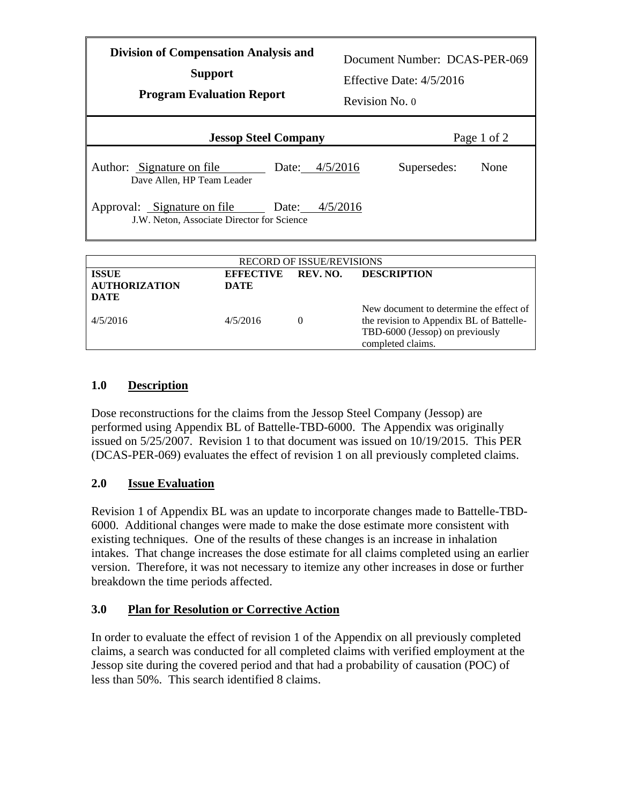| <b>Division of Compensation Analysis and</b><br><b>Support</b><br><b>Program Evaluation Report</b> |                                      |          | Document Number: DCAS-PER-069<br>Effective Date: $4/5/2016$<br>Revision No. 0 |      |  |  |
|----------------------------------------------------------------------------------------------------|--------------------------------------|----------|-------------------------------------------------------------------------------|------|--|--|
| <b>Jessop Steel Company</b>                                                                        |                                      |          | Page 1 of 2                                                                   |      |  |  |
| Author: Signature on file<br>Dave Allen, HP Team Leader                                            | Date:                                | 4/5/2016 | Supersedes:                                                                   | None |  |  |
| Approval: Signature on file<br>4/5/2016<br>Date:<br>J.W. Neton, Associate Director for Science     |                                      |          |                                                                               |      |  |  |
| <b>RECORD OF ISSUE/REVISIONS</b>                                                                   |                                      |          |                                                                               |      |  |  |
| <b>ISSUE</b><br><b>AUTHORIZATION</b><br><b>DATE</b>                                                | REV. NO.<br><b>EFFECTIVE</b><br>DATE |          | <b>DESCRIPTION</b>                                                            |      |  |  |

## 4/5/2016 4/5/2016 0 the revision to Appendix BL of Battelle-TBD-6000 (Jessop) on previously completed claims.

New document to determine the effect of

## **1.0 Description**

Dose reconstructions for the claims from the Jessop Steel Company (Jessop) are performed using Appendix BL of Battelle-TBD-6000. The Appendix was originally issued on 5/25/2007. Revision 1 to that document was issued on 10/19/2015. This PER (DCAS-PER-069) evaluates the effect of revision 1 on all previously completed claims.

## **2.0 Issue Evaluation**

Revision 1 of Appendix BL was an update to incorporate changes made to Battelle-TBD-6000. Additional changes were made to make the dose estimate more consistent with existing techniques. One of the results of these changes is an increase in inhalation intakes. That change increases the dose estimate for all claims completed using an earlier version. Therefore, it was not necessary to itemize any other increases in dose or further breakdown the time periods affected.

## **3.0 Plan for Resolution or Corrective Action**

In order to evaluate the effect of revision 1 of the Appendix on all previously completed claims, a search was conducted for all completed claims with verified employment at the Jessop site during the covered period and that had a probability of causation (POC) of less than 50%. This search identified 8 claims.